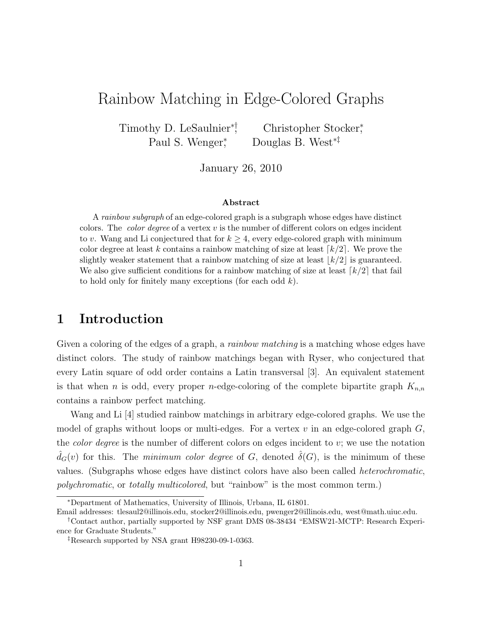# Rainbow Matching in Edge-Colored Graphs

Timothy D. LeSaulnier<sup>∗†</sup>, Christopher Stocker, Paul S. Wenger<sup>\*</sup> , Douglas B. West∗‡

January 26, 2010

#### Abstract

A rainbow subgraph of an edge-colored graph is a subgraph whose edges have distinct colors. The *color degree* of a vertex  $v$  is the number of different colors on edges incident to v. Wang and Li conjectured that for  $k \geq 4$ , every edge-colored graph with minimum color degree at least k contains a rainbow matching of size at least  $\lceil k/2 \rceil$ . We prove the slightly weaker statement that a rainbow matching of size at least  $\lfloor k/2 \rfloor$  is guaranteed. We also give sufficient conditions for a rainbow matching of size at least  $\lceil k/2 \rceil$  that fail to hold only for finitely many exceptions (for each odd  $k$ ).

#### 1 Introduction

Given a coloring of the edges of a graph, a *rainbow matching* is a matching whose edges have distinct colors. The study of rainbow matchings began with Ryser, who conjectured that every Latin square of odd order contains a Latin transversal [3]. An equivalent statement is that when n is odd, every proper n-edge-coloring of the complete bipartite graph  $K_{n,n}$ contains a rainbow perfect matching.

Wang and Li [4] studied rainbow matchings in arbitrary edge-colored graphs. We use the model of graphs without loops or multi-edges. For a vertex  $v$  in an edge-colored graph  $G$ , the *color degree* is the number of different colors on edges incident to  $v$ ; we use the notation  $\hat{d}_G(v)$  for this. The minimum color degree of G, denoted  $\hat{\delta}(G)$ , is the minimum of these values. (Subgraphs whose edges have distinct colors have also been called heterochromatic, polychromatic, or totally multicolored, but "rainbow" is the most common term.)

<sup>∗</sup>Department of Mathematics, University of Illinois, Urbana, IL 61801.

Email addresses: tlesaul2@illinois.edu, stocker2@illinois.edu, pwenger2@illinois.edu, west@math.uiuc.edu.

<sup>†</sup>Contact author, partially supported by NSF grant DMS 08-38434 "EMSW21-MCTP: Research Experience for Graduate Students."

<sup>‡</sup>Research supported by NSA grant H98230-09-1-0363.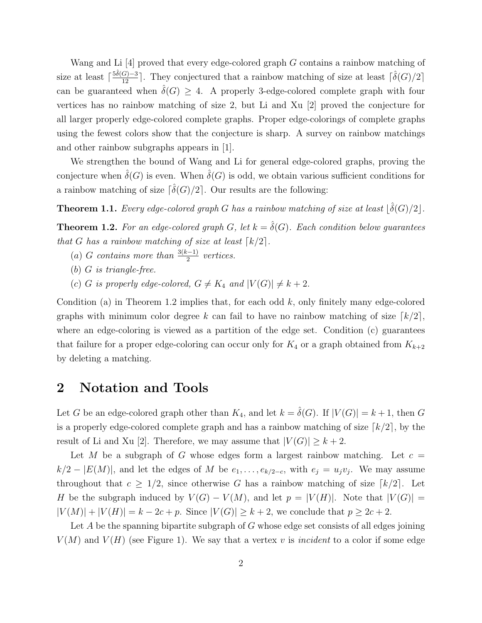Wang and Li [4] proved that every edge-colored graph G contains a rainbow matching of size at least  $\lceil \frac{5\hat{\delta}(G)-3}{12} \rceil$ . They conjectured that a rainbow matching of size at least  $\lceil \hat{\delta}(G)/2 \rceil$ can be guaranteed when  $\hat{\delta}(G) \geq 4$ . A properly 3-edge-colored complete graph with four vertices has no rainbow matching of size 2, but Li and Xu [2] proved the conjecture for all larger properly edge-colored complete graphs. Proper edge-colorings of complete graphs using the fewest colors show that the conjecture is sharp. A survey on rainbow matchings and other rainbow subgraphs appears in [1].

We strengthen the bound of Wang and Li for general edge-colored graphs, proving the conjecture when  $\hat{\delta}(G)$  is even. When  $\hat{\delta}(G)$  is odd, we obtain various sufficient conditions for a rainbow matching of size  $\lceil \hat{\delta}(G)/2 \rceil$ . Our results are the following:

**Theorem 1.1.** Every edge-colored graph G has a rainbow matching of size at least  $\lfloor \hat{\delta}(G)/2 \rfloor$ .

**Theorem 1.2.** For an edge-colored graph G, let  $k = \hat{\delta}(G)$ . Each condition below guarantees that G has a rainbow matching of size at least  $\lceil k/2 \rceil$ .

- (a) G contains more than  $\frac{3(k-1)}{2}$  vertices.
- (b) G is triangle-free.
- (c) G is properly edge-colored,  $G \neq K_4$  and  $|V(G)| \neq k + 2$ .

Condition (a) in Theorem 1.2 implies that, for each odd  $k$ , only finitely many edge-colored graphs with minimum color degree k can fail to have no rainbow matching of size  $\lceil k/2 \rceil$ , where an edge-coloring is viewed as a partition of the edge set. Condition (c) guarantees that failure for a proper edge-coloring can occur only for  $K_4$  or a graph obtained from  $K_{k+2}$ by deleting a matching.

#### 2 Notation and Tools

Let G be an edge-colored graph other than  $K_4$ , and let  $k = \hat{\delta}(G)$ . If  $|V(G)| = k+1$ , then G is a properly edge-colored complete graph and has a rainbow matching of size  $\lceil k/2 \rceil$ , by the result of Li and Xu [2]. Therefore, we may assume that  $|V(G)| \geq k+2$ .

Let M be a subgraph of G whose edges form a largest rainbow matching. Let  $c =$  $k/2 - |E(M)|$ , and let the edges of M be  $e_1, \ldots, e_{k/2-c}$ , with  $e_j = u_j v_j$ . We may assume throughout that  $c \geq 1/2$ , since otherwise G has a rainbow matching of size  $\lceil k/2 \rceil$ . Let H be the subgraph induced by  $V(G) - V(M)$ , and let  $p = |V(H)|$ . Note that  $|V(G)| =$  $|V(M)| + |V(H)| = k - 2c + p$ . Since  $|V(G)| \ge k + 2$ , we conclude that  $p \ge 2c + 2$ .

Let A be the spanning bipartite subgraph of G whose edge set consists of all edges joining  $V(M)$  and  $V(H)$  (see Figure 1). We say that a vertex v is *incident* to a color if some edge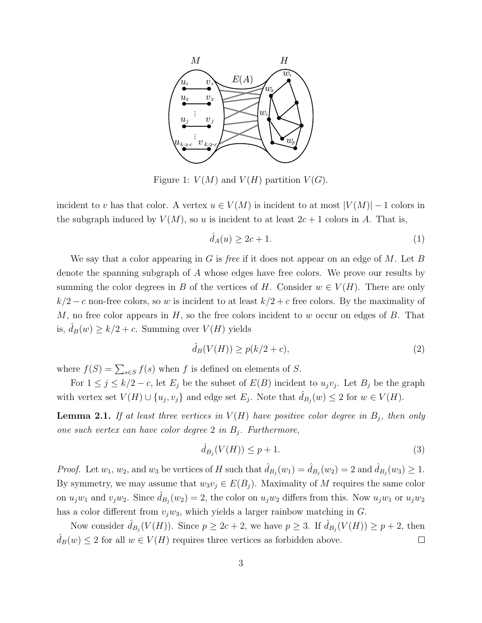

Figure 1:  $V(M)$  and  $V(H)$  partition  $V(G)$ .

incident to v has that color. A vertex  $u \in V(M)$  is incident to at most  $|V(M)| - 1$  colors in the subgraph induced by  $V(M)$ , so u is incident to at least  $2c + 1$  colors in A. That is,

$$
\hat{d}_A(u) \ge 2c + 1. \tag{1}
$$

We say that a color appearing in G is *free* if it does not appear on an edge of M. Let B denote the spanning subgraph of A whose edges have free colors. We prove our results by summing the color degrees in B of the vertices of H. Consider  $w \in V(H)$ . There are only  $k/2 - c$  non-free colors, so w is incident to at least  $k/2 + c$  free colors. By the maximality of M, no free color appears in  $H$ , so the free colors incident to w occur on edges of  $B$ . That is,  $\hat{d}_B(w) \ge k/2 + c$ . Summing over  $V(H)$  yields

$$
\hat{d}_B(V(H)) \ge p(k/2 + c),\tag{2}
$$

where  $f(S) = \sum_{s \in S} f(s)$  when f is defined on elements of S.

For  $1 \leq j \leq k/2 - c$ , let  $E_j$  be the subset of  $E(B)$  incident to  $u_jv_j$ . Let  $B_j$  be the graph with vertex set  $V(H) \cup \{u_j, v_j\}$  and edge set  $E_j$ . Note that  $\hat{d}_{B_j}(w) \leq 2$  for  $w \in V(H)$ .

**Lemma 2.1.** If at least three vertices in  $V(H)$  have positive color degree in  $B_j$ , then only one such vertex can have color degree 2 in  $B_i$ . Furthermore,

$$
\hat{d}_{B_j}(V(H)) \le p + 1. \tag{3}
$$

*Proof.* Let  $w_1, w_2$ , and  $w_3$  be vertices of H such that  $\hat{d}_{B_j}(w_1) = \hat{d}_{B_j}(w_2) = 2$  and  $\hat{d}_{B_j}(w_3) \ge 1$ . By symmetry, we may assume that  $w_3v_j \in E(B_i)$ . Maximality of M requires the same color on  $u_jw_1$  and  $v_jw_2$ . Since  $\hat{d}_{B_j}(w_2) = 2$ , the color on  $u_jw_2$  differs from this. Now  $u_jw_1$  or  $u_jw_2$ has a color different from  $v_iw_3$ , which yields a larger rainbow matching in G.

Now consider  $\hat{d}_{B_j}(V(H))$ . Since  $p \ge 2c + 2$ , we have  $p \ge 3$ . If  $\hat{d}_{B_j}(V(H)) \ge p + 2$ , then  $\hat{d}_B(w) \leq 2$  for all  $w \in V(H)$  requires three vertices as forbidden above.  $\Box$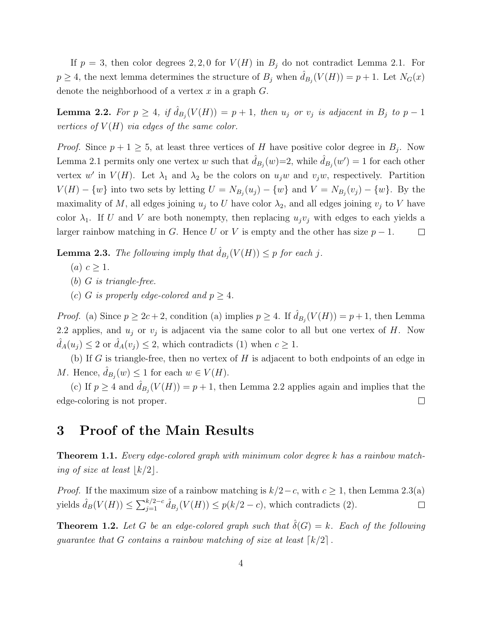If  $p = 3$ , then color degrees 2, 2, 0 for  $V(H)$  in  $B_j$  do not contradict Lemma 2.1. For  $p \geq 4$ , the next lemma determines the structure of  $B_j$  when  $\hat{d}_{B_j}(V(H)) = p + 1$ . Let  $N_G(x)$ denote the neighborhood of a vertex  $x$  in a graph  $G$ .

**Lemma 2.2.** For  $p \geq 4$ , if  $\hat{d}_{B_j}(V(H)) = p + 1$ , then  $u_j$  or  $v_j$  is adjacent in  $B_j$  to  $p - 1$ vertices of  $V(H)$  via edges of the same color.

*Proof.* Since  $p + 1 \geq 5$ , at least three vertices of H have positive color degree in  $B_j$ . Now Lemma 2.1 permits only one vertex w such that  $\hat{d}_{B_j}(w)=2$ , while  $\hat{d}_{B_j}(w')=1$  for each other vertex w' in  $V(H)$ . Let  $\lambda_1$  and  $\lambda_2$  be the colors on  $u_jw$  and  $v_jw$ , respectively. Partition  $V(H) - \{w\}$  into two sets by letting  $U = N_{B_j}(u_j) - \{w\}$  and  $V = N_{B_j}(v_j) - \{w\}$ . By the maximality of M, all edges joining  $u_j$  to U have color  $\lambda_2$ , and all edges joining  $v_j$  to V have color  $\lambda_1$ . If U and V are both nonempty, then replacing  $u_jv_j$  with edges to each yields a larger rainbow matching in G. Hence U or V is empty and the other has size  $p-1$ .  $\Box$ 

**Lemma 2.3.** The following imply that  $\hat{d}_{B_j}(V(H)) \leq p$  for each j.

- $(a)$   $c \geq 1$ .
- (b) G is triangle-free.
- (c) G is properly edge-colored and  $p \geq 4$ .

*Proof.* (a) Since  $p \ge 2c + 2$ , condition (a) implies  $p \ge 4$ . If  $\hat{d}_{B_j}(V(H)) = p + 1$ , then Lemma 2.2 applies, and  $u_j$  or  $v_j$  is adjacent via the same color to all but one vertex of H. Now  $\hat{d}_A(u_i) \leq 2$  or  $\hat{d}_A(v_i) \leq 2$ , which contradicts (1) when  $c \geq 1$ .

(b) If G is triangle-free, then no vertex of  $H$  is adjacent to both endpoints of an edge in M. Hence,  $\hat{d}_{B_j}(w) \leq 1$  for each  $w \in V(H)$ .

(c) If  $p \geq 4$  and  $\hat{d}_{B_j}(V(H)) = p + 1$ , then Lemma 2.2 applies again and implies that the edge-coloring is not proper.  $\Box$ 

### 3 Proof of the Main Results

Theorem 1.1. Every edge-colored graph with minimum color degree k has a rainbow matching of size at least  $\lfloor k/2 \rfloor$ .

*Proof.* If the maximum size of a rainbow matching is  $k/2-c$ , with  $c \ge 1$ , then Lemma 2.3(a) yields  $\hat{d}_B(V(H)) \le \sum_{j=1}^{k/2-c} \hat{d}_{B_j}(V(H)) \le p(k/2-c)$ , which contradicts (2).  $\Box$ 

**Theorem 1.2.** Let G be an edge-colored graph such that  $\hat{\delta}(G) = k$ . Each of the following guarantee that G contains a rainbow matching of size at least  $\lceil k/2 \rceil$ .